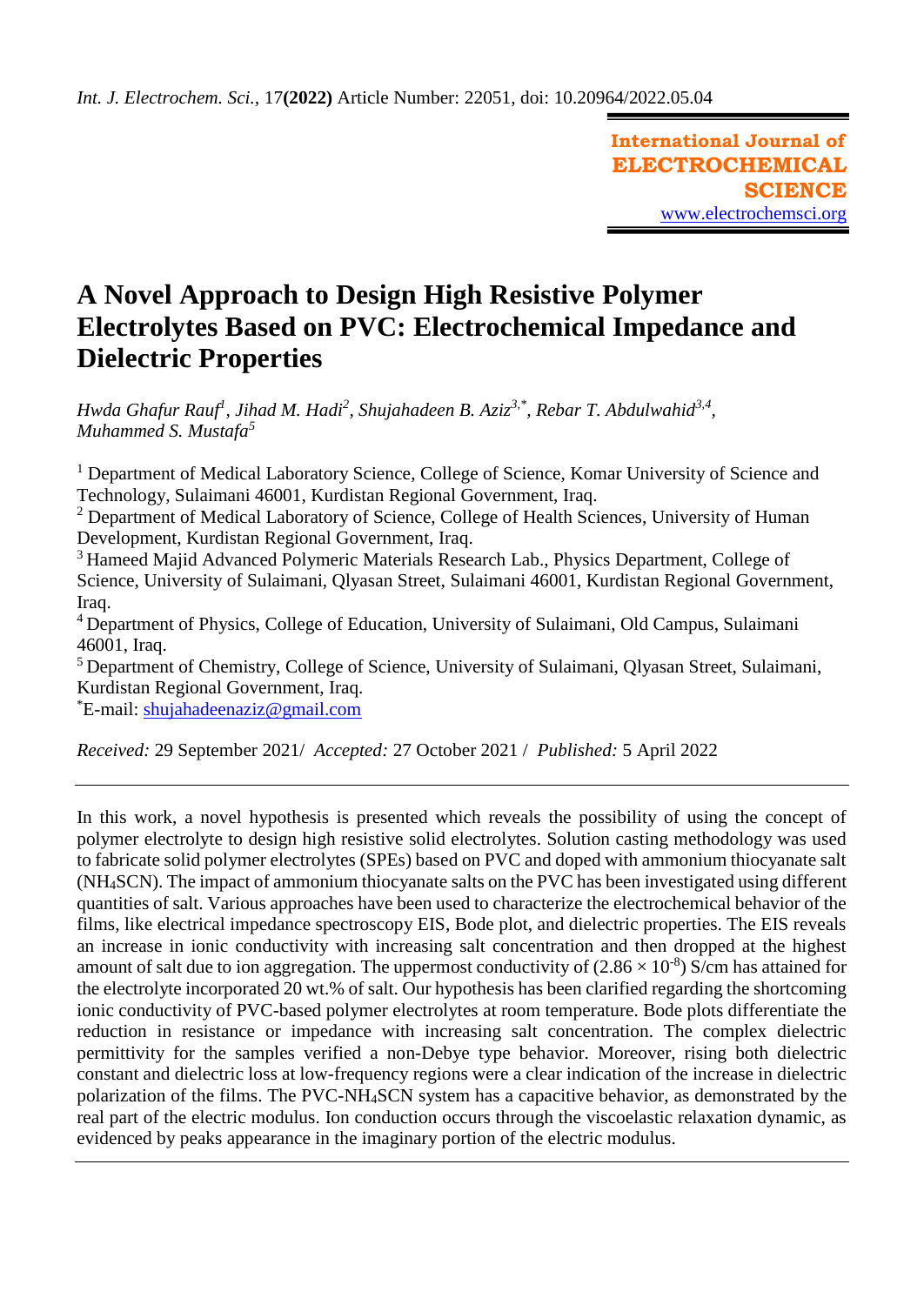**International Journal of ELECTROCHEMICAL SCIENCE** [www.electrochemsci.org](http://www.electrochemsci.org/)

# **A Novel Approach to Design High Resistive Polymer Electrolytes Based on PVC: Electrochemical Impedance and Dielectric Properties**

*Hwda Ghafur Rauf<sup>1</sup> , Jihad M. Hadi<sup>2</sup> , Shujahadeen B. Aziz3,\* , Rebar T. Abdulwahid3,4 , Muhammed S. Mustafa<sup>5</sup>*

<sup>1</sup> Department of Medical Laboratory Science, College of Science, Komar University of Science and Technology, Sulaimani 46001, Kurdistan Regional Government, Iraq.

<sup>2</sup> Department of Medical Laboratory of Science, College of Health Sciences, University of Human Development, Kurdistan Regional Government, Iraq.

<sup>3</sup> Hameed Majid Advanced Polymeric Materials Research Lab., Physics Department, College of Science, University of Sulaimani, Qlyasan Street, Sulaimani 46001, Kurdistan Regional Government, Iraq.

<sup>4</sup> Department of Physics, College of Education, University of Sulaimani, Old Campus, Sulaimani 46001, Iraq.

<sup>5</sup> Department of Chemistry, College of Science, University of Sulaimani, Qlyasan Street, Sulaimani, Kurdistan Regional Government, Iraq.

\*E-mail: [shujahadeenaziz@gmail.com](mailto:shujahadeenaziz@gmail.com)

*Received:* 29 September 2021/ *Accepted:* 27 October 2021 / *Published:* 5 April 2022

In this work, a novel hypothesis is presented which reveals the possibility of using the concept of polymer electrolyte to design high resistive solid electrolytes. Solution casting methodology was used to fabricate solid polymer electrolytes (SPEs) based on PVC and doped with ammonium thiocyanate salt (NH4SCN). The impact of ammonium thiocyanate salts on the PVC has been investigated using different quantities of salt. Various approaches have been used to characterize the electrochemical behavior of the films, like electrical impedance spectroscopy EIS, Bode plot, and dielectric properties. The EIS reveals an increase in ionic conductivity with increasing salt concentration and then dropped at the highest amount of salt due to ion aggregation. The uppermost conductivity of  $(2.86 \times 10^{-8})$  S/cm has attained for the electrolyte incorporated 20 wt.% of salt. Our hypothesis has been clarified regarding the shortcoming ionic conductivity of PVC-based polymer electrolytes at room temperature. Bode plots differentiate the reduction in resistance or impedance with increasing salt concentration. The complex dielectric permittivity for the samples verified a non-Debye type behavior. Moreover, rising both dielectric constant and dielectric loss at low-frequency regions were a clear indication of the increase in dielectric polarization of the films. The PVC-NH4SCN system has a capacitive behavior, as demonstrated by the real part of the electric modulus. Ion conduction occurs through the viscoelastic relaxation dynamic, as evidenced by peaks appearance in the imaginary portion of the electric modulus.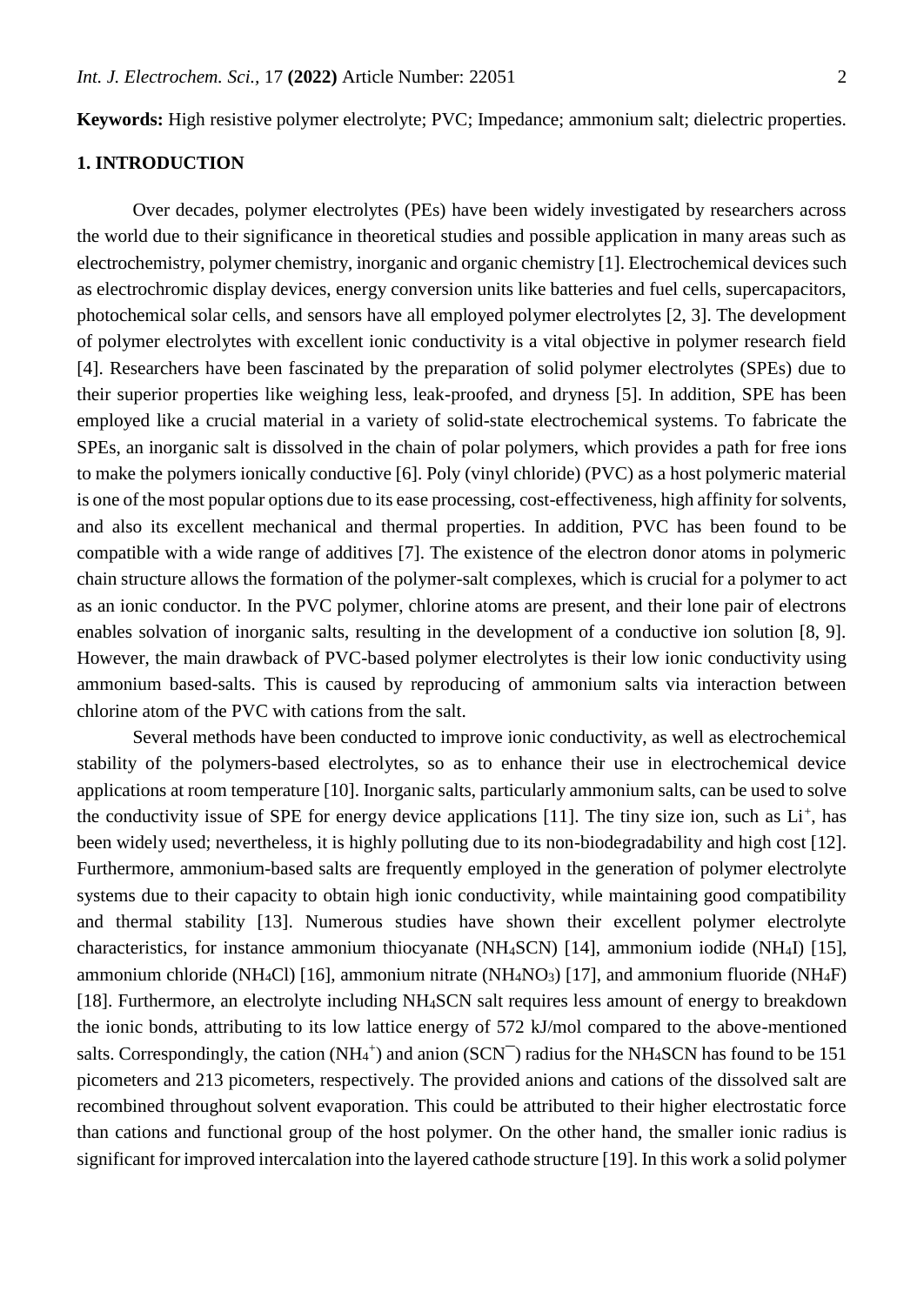**Keywords:** High resistive polymer electrolyte; PVC; Impedance; ammonium salt; dielectric properties.

## **1. INTRODUCTION**

Over decades, polymer electrolytes (PEs) have been widely investigated by researchers across the world due to their significance in theoretical studies and possible application in many areas such as electrochemistry, polymer chemistry, inorganic and organic chemistry [1]. Electrochemical devices such as electrochromic display devices, energy conversion units like batteries and fuel cells, supercapacitors, photochemical solar cells, and sensors have all employed polymer electrolytes [2, 3]. The development of polymer electrolytes with excellent ionic conductivity is a vital objective in polymer research field [4]. Researchers have been fascinated by the preparation of solid polymer electrolytes (SPEs) due to their superior properties like weighing less, leak-proofed, and dryness [5]. In addition, SPE has been employed like a crucial material in a variety of solid-state electrochemical systems. To fabricate the SPEs, an inorganic salt is dissolved in the chain of polar polymers, which provides a path for free ions to make the polymers ionically conductive [6]. Poly (vinyl chloride) (PVC) as a host polymeric material is one of the most popular options due to its ease processing, cost-effectiveness, high affinity for solvents, and also its excellent mechanical and thermal properties. In addition, PVC has been found to be compatible with a wide range of additives [7]. The existence of the electron donor atoms in polymeric chain structure allows the formation of the polymer-salt complexes, which is crucial for a polymer to act as an ionic conductor. In the PVC polymer, chlorine atoms are present, and their lone pair of electrons enables solvation of inorganic salts, resulting in the development of a conductive ion solution [8, 9]. However, the main drawback of PVC-based polymer electrolytes is their low ionic conductivity using ammonium based-salts. This is caused by reproducing of ammonium salts via interaction between chlorine atom of the PVC with cations from the salt.

Several methods have been conducted to improve ionic conductivity, as well as electrochemical stability of the polymers-based electrolytes, so as to enhance their use in electrochemical device applications at room temperature [10]. Inorganic salts, particularly ammonium salts, can be used to solve the conductivity issue of SPE for energy device applications [11]. The tiny size ion, such as  $Li<sup>+</sup>$ , has been widely used; nevertheless, it is highly polluting due to its non-biodegradability and high cost [12]. Furthermore, ammonium-based salts are frequently employed in the generation of polymer electrolyte systems due to their capacity to obtain high ionic conductivity, while maintaining good compatibility and thermal stability [13]. Numerous studies have shown their excellent polymer electrolyte characteristics, for instance ammonium thiocyanate (NH4SCN) [14], ammonium iodide (NH4I) [15], ammonium chloride (NH<sub>4</sub>Cl) [16], ammonium nitrate (NH<sub>4</sub>NO<sub>3</sub>) [17], and ammonium fluoride (NH<sub>4</sub>F) [18]. Furthermore, an electrolyte including NH<sub>4</sub>SCN salt requires less amount of energy to breakdown the ionic bonds, attributing to its low lattice energy of 572 kJ/mol compared to the above-mentioned salts. Correspondingly, the cation  $(NH_4^+)$  and anion  $(SCN^-)$  radius for the NH<sub>4</sub>SCN has found to be 151 picometers and 213 picometers, respectively. The provided anions and cations of the dissolved salt are recombined throughout solvent evaporation. This could be attributed to their higher electrostatic force than cations and functional group of the host polymer. On the other hand, the smaller ionic radius is significant for improved intercalation into the layered cathode structure [19]. In this work a solid polymer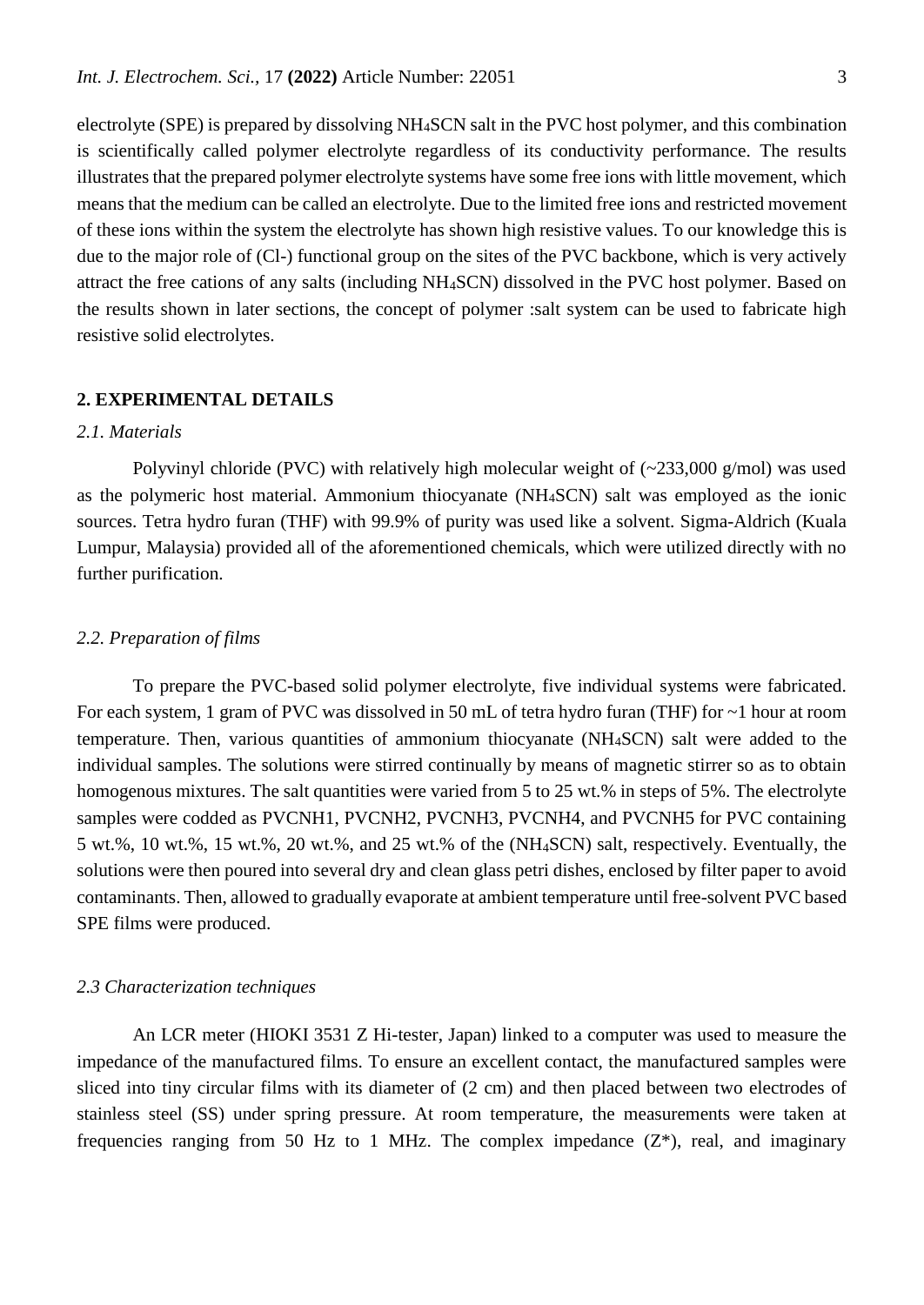electrolyte (SPE) is prepared by dissolving NH4SCN salt in the PVC host polymer, and this combination is scientifically called polymer electrolyte regardless of its conductivity performance. The results illustrates that the prepared polymer electrolyte systems have some free ions with little movement, which means that the medium can be called an electrolyte. Due to the limited free ions and restricted movement of these ions within the system the electrolyte has shown high resistive values. To our knowledge this is due to the major role of (Cl-) functional group on the sites of the PVC backbone, which is very actively attract the free cations of any salts (including NH4SCN) dissolved in the PVC host polymer. Based on the results shown in later sections, the concept of polymer :salt system can be used to fabricate high resistive solid electrolytes.

#### **2. EXPERIMENTAL DETAILS**

## *2.1. Materials*

Polyvinyl chloride (PVC) with relatively high molecular weight of (~233,000 g/mol) was used as the polymeric host material. Ammonium thiocyanate (NH4SCN) salt was employed as the ionic sources. Tetra hydro furan (THF) with 99.9% of purity was used like a solvent. Sigma-Aldrich (Kuala Lumpur, Malaysia) provided all of the aforementioned chemicals, which were utilized directly with no further purification.

#### *2.2. Preparation of films*

To prepare the PVC-based solid polymer electrolyte, five individual systems were fabricated. For each system, 1 gram of PVC was dissolved in 50 mL of tetra hydro furan (THF) for ~1 hour at room temperature. Then, various quantities of ammonium thiocyanate (NH4SCN) salt were added to the individual samples. The solutions were stirred continually by means of magnetic stirrer so as to obtain homogenous mixtures. The salt quantities were varied from 5 to 25 wt.% in steps of 5%. The electrolyte samples were codded as PVCNH1, PVCNH2, PVCNH3, PVCNH4, and PVCNH5 for PVC containing 5 wt.%, 10 wt.%, 15 wt.%, 20 wt.%, and 25 wt.% of the (NH4SCN) salt, respectively. Eventually, the solutions were then poured into several dry and clean glass petri dishes, enclosed by filter paper to avoid contaminants. Then, allowed to gradually evaporate at ambient temperature until free-solvent PVC based SPE films were produced.

#### *2.3 Characterization techniques*

An LCR meter (HIOKI 3531 Z Hi-tester, Japan) linked to a computer was used to measure the impedance of the manufactured films. To ensure an excellent contact, the manufactured samples were sliced into tiny circular films with its diameter of (2 cm) and then placed between two electrodes of stainless steel (SS) under spring pressure. At room temperature, the measurements were taken at frequencies ranging from 50 Hz to 1 MHz. The complex impedance  $(Z^*)$ , real, and imaginary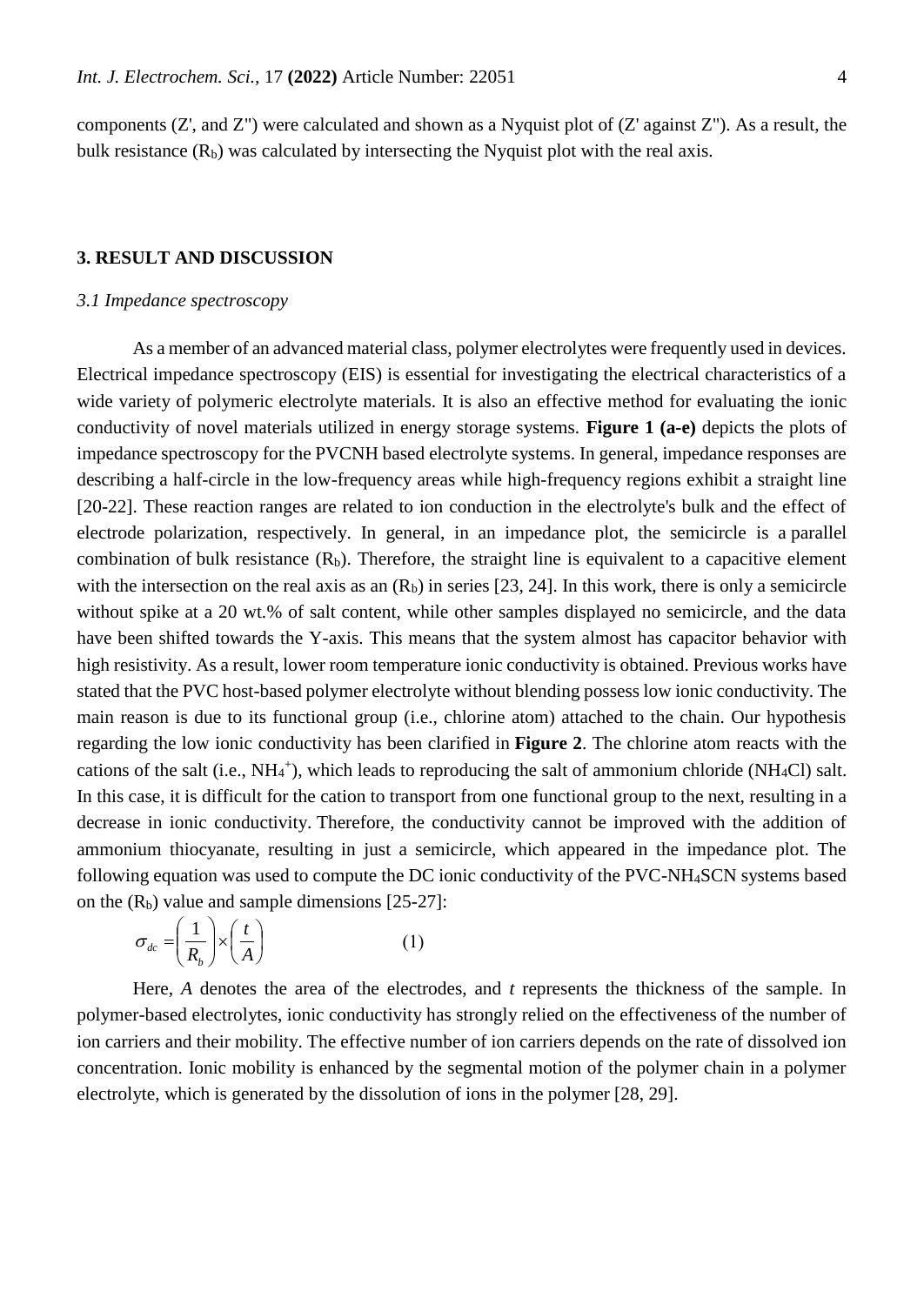components (Z', and Z") were calculated and shown as a Nyquist plot of (Z' against Z"). As a result, the bulk resistance  $(R_b)$  was calculated by intersecting the Nyquist plot with the real axis.

#### **3. RESULT AND DISCUSSION**

#### *3.1 Impedance spectroscopy*

As a member of an advanced material class, polymer electrolytes were frequently used in devices. Electrical impedance spectroscopy (EIS) is essential for investigating the electrical characteristics of a wide variety of polymeric electrolyte materials. It is also an effective method for evaluating the ionic conductivity of novel materials utilized in energy storage systems. **Figure 1 (a-e)** depicts the plots of impedance spectroscopy for the PVCNH based electrolyte systems. In general, impedance responses are describing a half-circle in the low-frequency areas while high-frequency regions exhibit a straight line [20-22]. These reaction ranges are related to ion conduction in the electrolyte's bulk and the effect of electrode polarization, respectively. In general, in an impedance plot, the semicircle is a parallel combination of bulk resistance  $(R_b)$ . Therefore, the straight line is equivalent to a capacitive element with the intersection on the real axis as an  $(R_b)$  in series [23, 24]. In this work, there is only a semicircle without spike at a 20 wt.% of salt content, while other samples displayed no semicircle, and the data have been shifted towards the Y-axis. This means that the system almost has capacitor behavior with high resistivity. As a result, lower room temperature ionic conductivity is obtained. Previous works have stated that the PVC host-based polymer electrolyte without blending possess low ionic conductivity. The main reason is due to its functional group (i.e., chlorine atom) attached to the chain. Our hypothesis regarding the low ionic conductivity has been clarified in **Figure 2**. The chlorine atom reacts with the cations of the salt (i.e., NH<sub>4</sub><sup>+</sup>), which leads to reproducing the salt of ammonium chloride (NH<sub>4</sub>Cl) salt. In this case, it is difficult for the cation to transport from one functional group to the next, resulting in a decrease in ionic conductivity. Therefore, the conductivity cannot be improved with the addition of ammonium thiocyanate, resulting in just a semicircle, which appeared in the impedance plot. The following equation was used to compute the DC ionic conductivity of the PVC-NH4SCN systems based on the  $(R_b)$  value and sample dimensions [25-27]:

$$
\sigma_{dc} = \left(\frac{1}{R_b}\right) \times \left(\frac{t}{A}\right) \tag{1}
$$

Here, *A* denotes the area of the electrodes, and *t* represents the thickness of the sample. In polymer-based electrolytes, ionic conductivity has strongly relied on the effectiveness of the number of ion carriers and their mobility. The effective number of ion carriers depends on the rate of dissolved ion concentration. Ionic mobility is enhanced by the segmental motion of the polymer chain in a polymer electrolyte, which is generated by the dissolution of ions in the polymer [28, 29].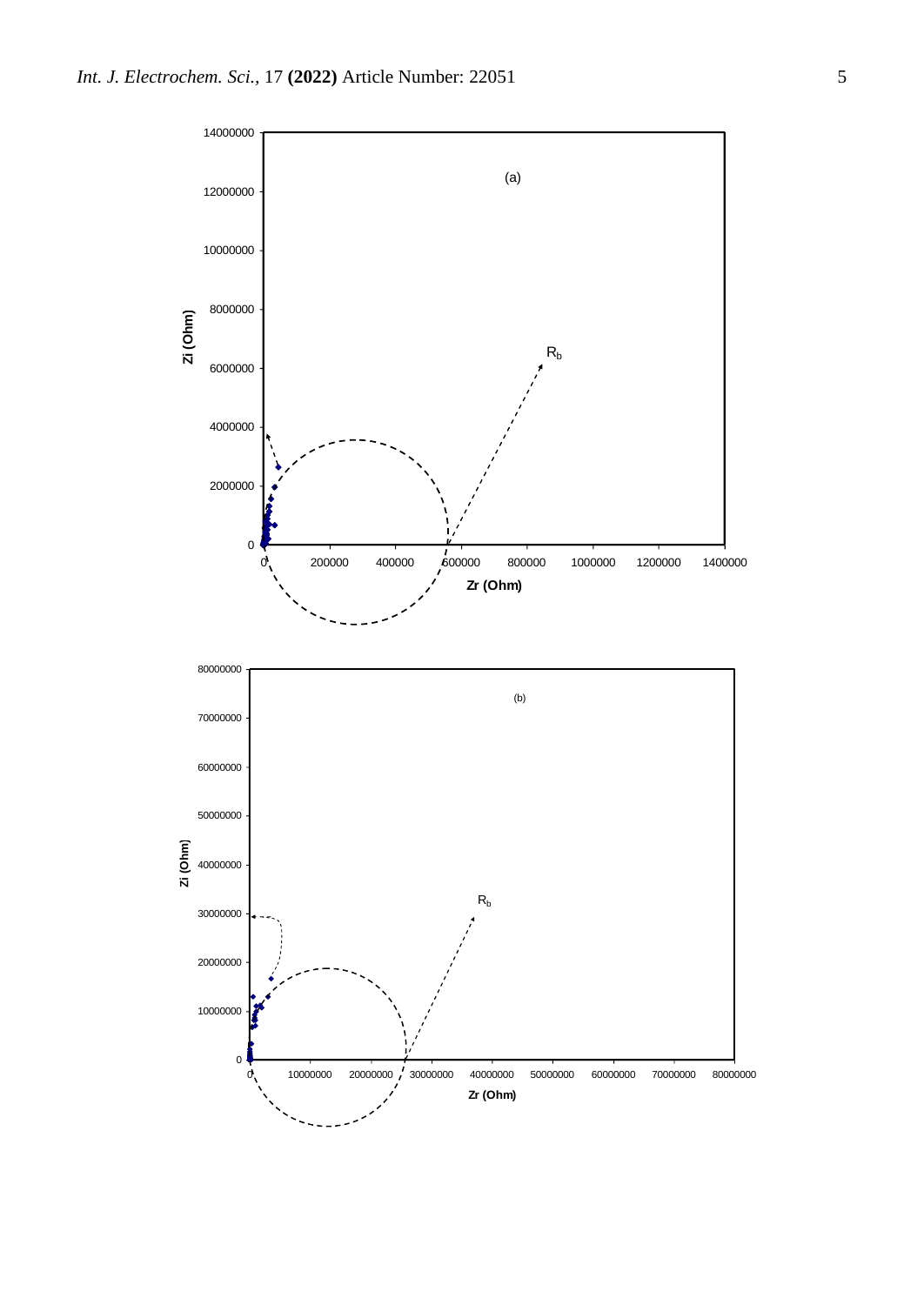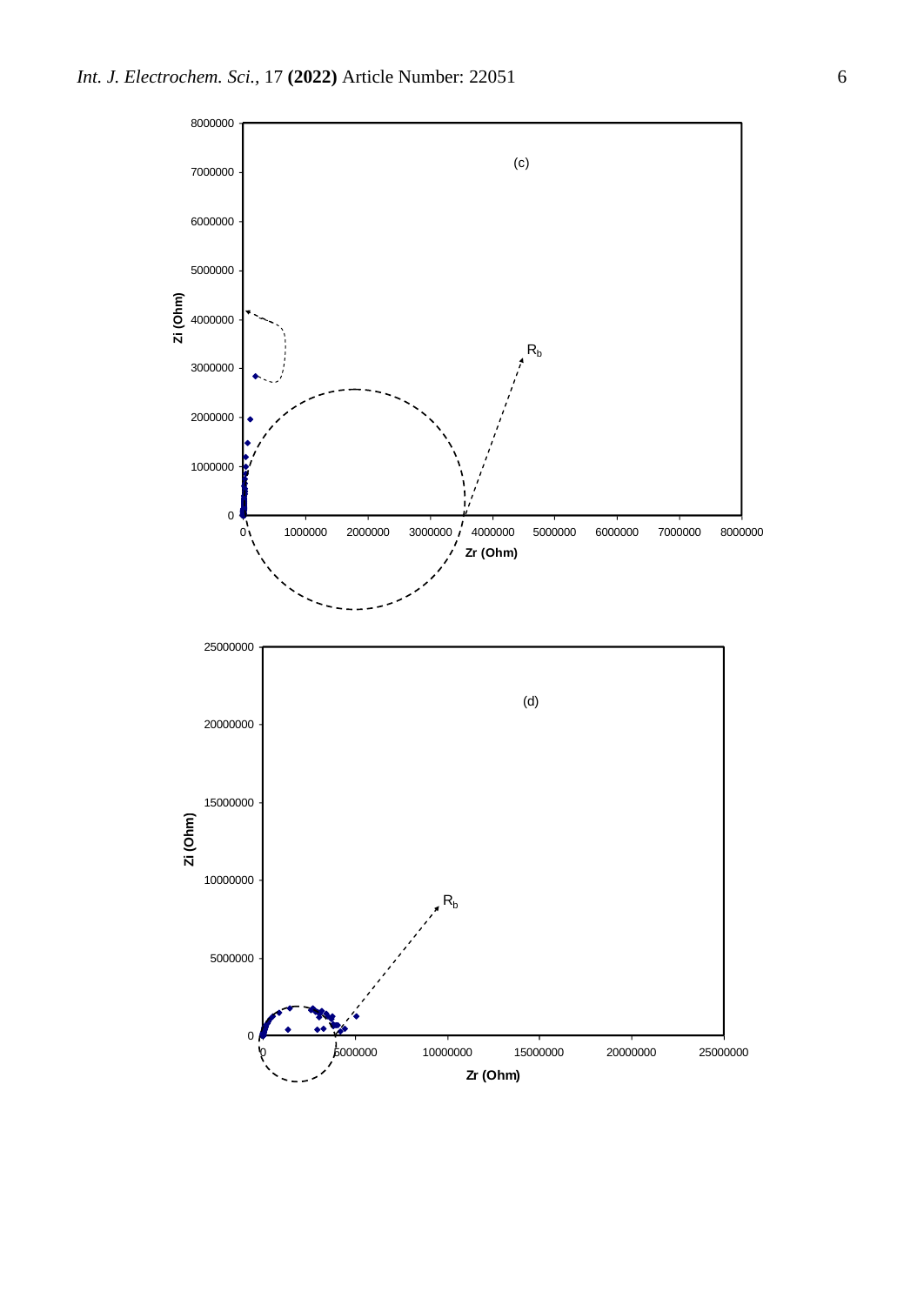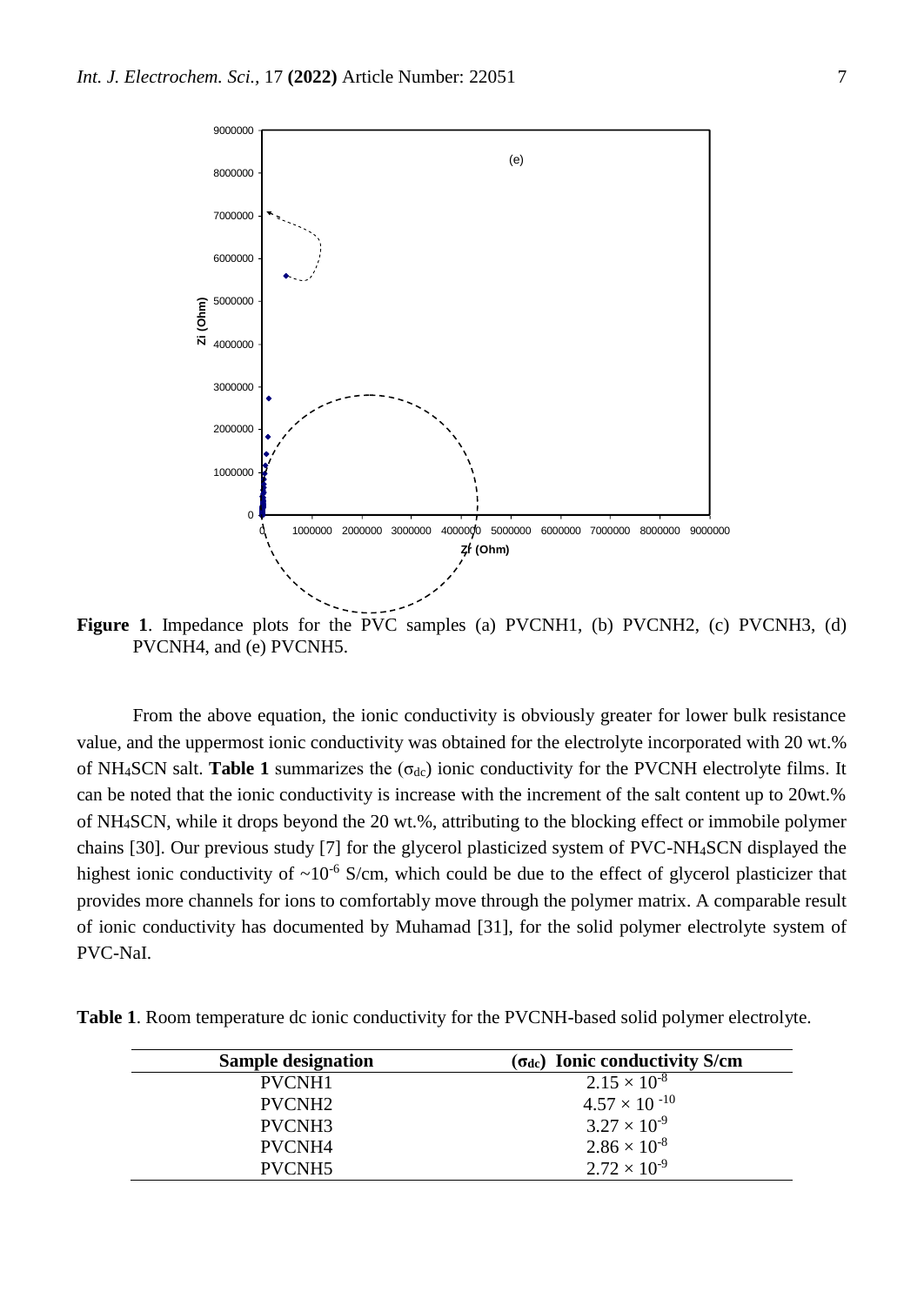

Figure 1. Impedance plots for the PVC samples (a) PVCNH1, (b) PVCNH2, (c) PVCNH3, (d) PVCNH4, and (e) PVCNH5.

From the above equation, the ionic conductivity is obviously greater for lower bulk resistance value, and the uppermost ionic conductivity was obtained for the electrolyte incorporated with 20 wt.% of NH<sub>4</sub>SCN salt. **Table 1** summarizes the  $(\sigma_{dc})$  ionic conductivity for the PVCNH electrolyte films. It can be noted that the ionic conductivity is increase with the increment of the salt content up to 20wt.% of NH4SCN, while it drops beyond the 20 wt.%, attributing to the blocking effect or immobile polymer chains [30]. Our previous study [7] for the glycerol plasticized system of PVC-NH4SCN displayed the highest ionic conductivity of  $\sim 10^{-6}$  S/cm, which could be due to the effect of glycerol plasticizer that provides more channels for ions to comfortably move through the polymer matrix. A comparable result of ionic conductivity has documented by Muhamad [31], for the solid polymer electrolyte system of PVC-NaI.

**Table 1**. Room temperature dc ionic conductivity for the PVCNH-based solid polymer electrolyte.

| <b>Sample designation</b> | $(\sigma_{dc})$ Ionic conductivity S/cm |
|---------------------------|-----------------------------------------|
| PVCNH1                    | $2.15 \times 10^{-8}$                   |
| PVCNH <sub>2</sub>        | $4.57 \times 10^{-10}$                  |
| PVCNH <sub>3</sub>        | $3.27 \times 10^{-9}$                   |
| PVCNH <sub>4</sub>        | $2.86 \times 10^{-8}$                   |
| PVCNH <sub>5</sub>        | $2.72 \times 10^{-9}$                   |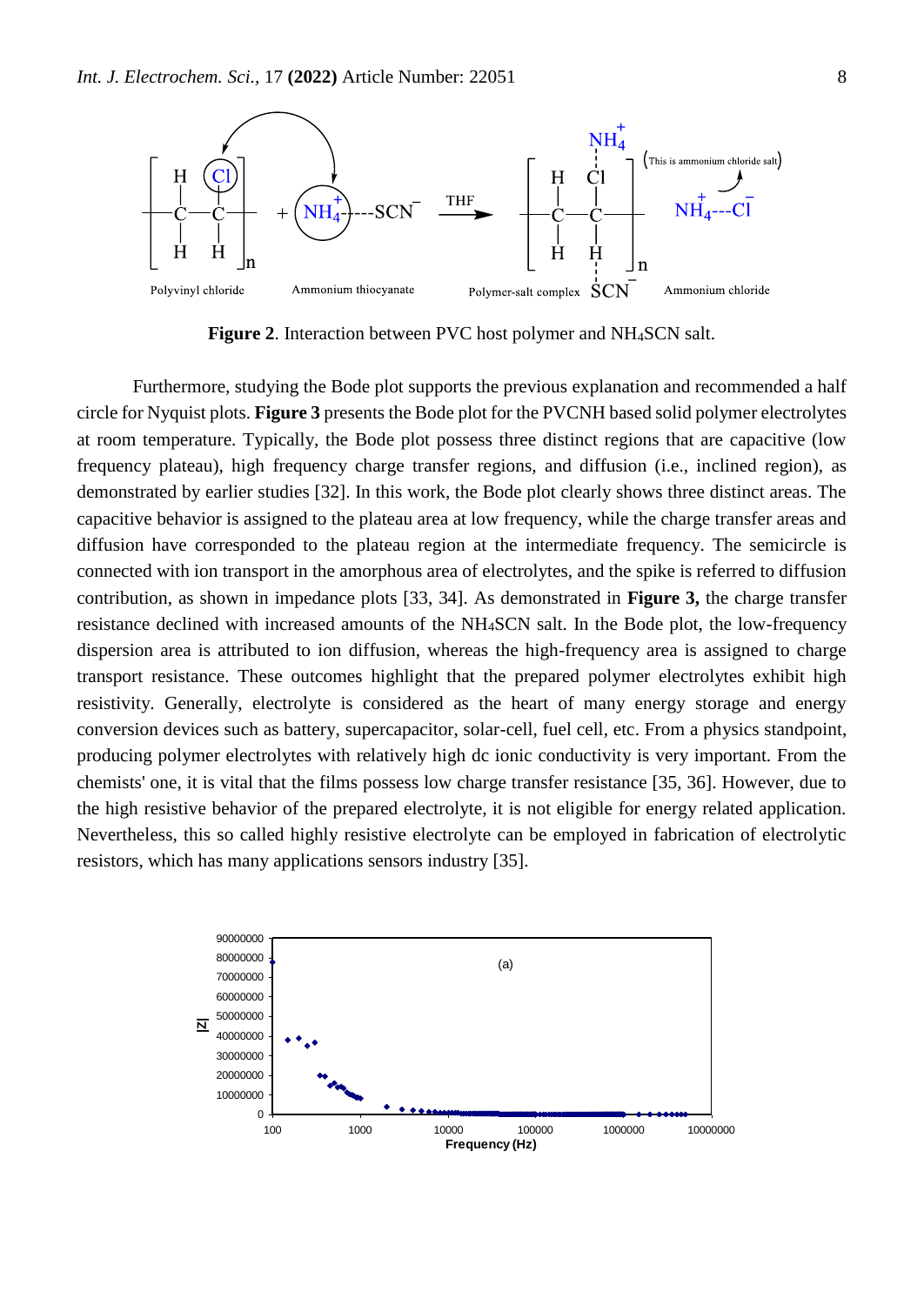

**Figure 2**. Interaction between PVC host polymer and NH4SCN salt.

Furthermore, studying the Bode plot supports the previous explanation and recommended a half circle for Nyquist plots. **Figure 3** presents the Bode plot for the PVCNH based solid polymer electrolytes at room temperature. Typically, the Bode plot possess three distinct regions that are capacitive (low frequency plateau), high frequency charge transfer regions, and diffusion (i.e., inclined region), as demonstrated by earlier studies [32]. In this work, the Bode plot clearly shows three distinct areas. The capacitive behavior is assigned to the plateau area at low frequency, while the charge transfer areas and diffusion have corresponded to the plateau region at the intermediate frequency. The semicircle is connected with ion transport in the amorphous area of electrolytes, and the spike is referred to diffusion contribution, as shown in impedance plots [33, 34]. As demonstrated in **Figure 3,** the charge transfer resistance declined with increased amounts of the NH4SCN salt. In the Bode plot, the low-frequency dispersion area is attributed to ion diffusion, whereas the high-frequency area is assigned to charge transport resistance. These outcomes highlight that the prepared polymer electrolytes exhibit high resistivity. Generally, electrolyte is considered as the heart of many energy storage and energy conversion devices such as battery, supercapacitor, solar-cell, fuel cell, etc. From a physics standpoint, producing polymer electrolytes with relatively high dc ionic conductivity is very important. From the chemists' one, it is vital that the films possess low charge transfer resistance [35, 36]. However, due to the high resistive behavior of the prepared electrolyte, it is not eligible for energy related application. Nevertheless, this so called highly resistive electrolyte can be employed in fabrication of electrolytic resistors, which has many applications sensors industry [35].

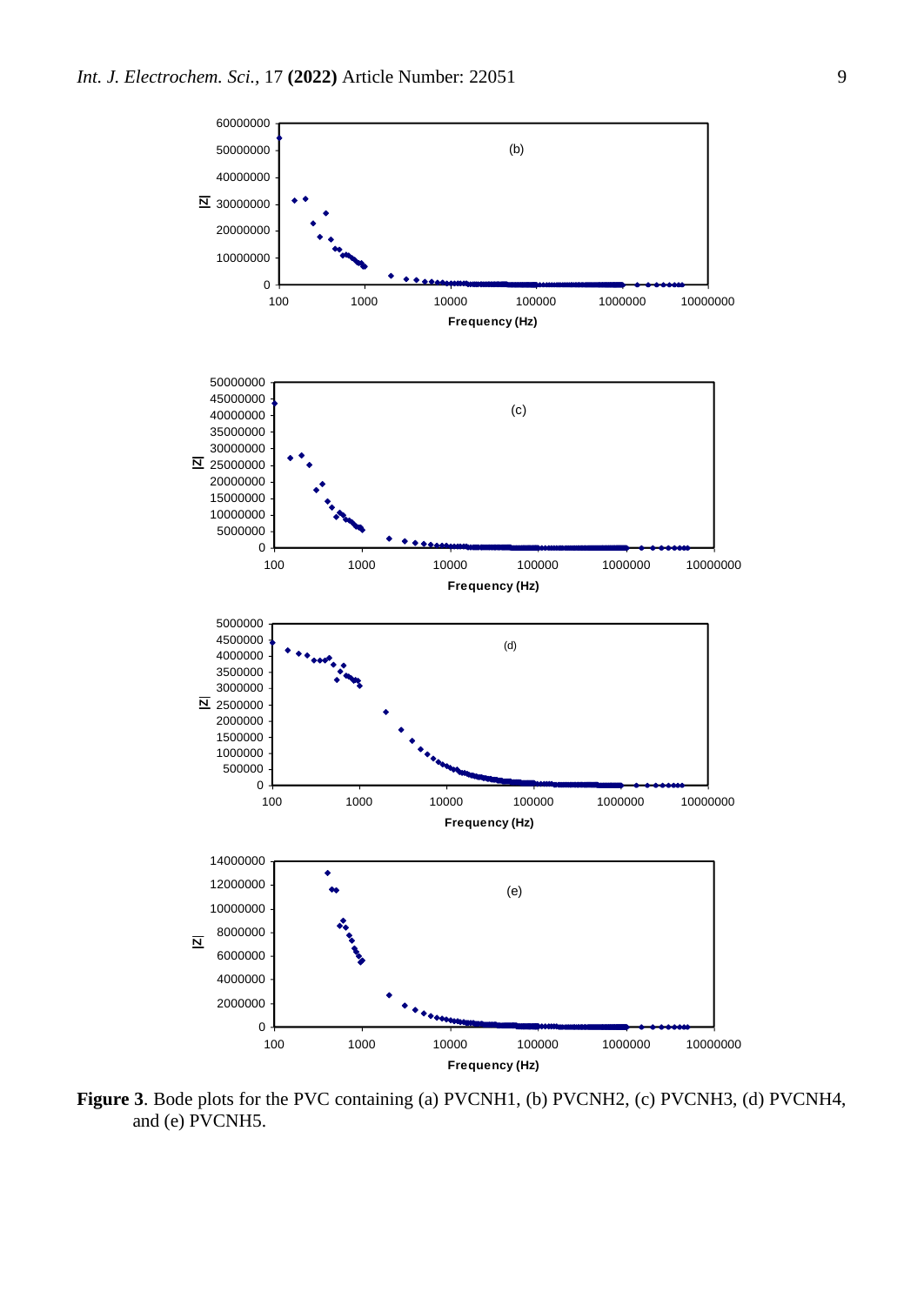

**Figure 3**. Bode plots for the PVC containing (a) PVCNH1, (b) PVCNH2, (c) PVCNH3, (d) PVCNH4, and (e) PVCNH5.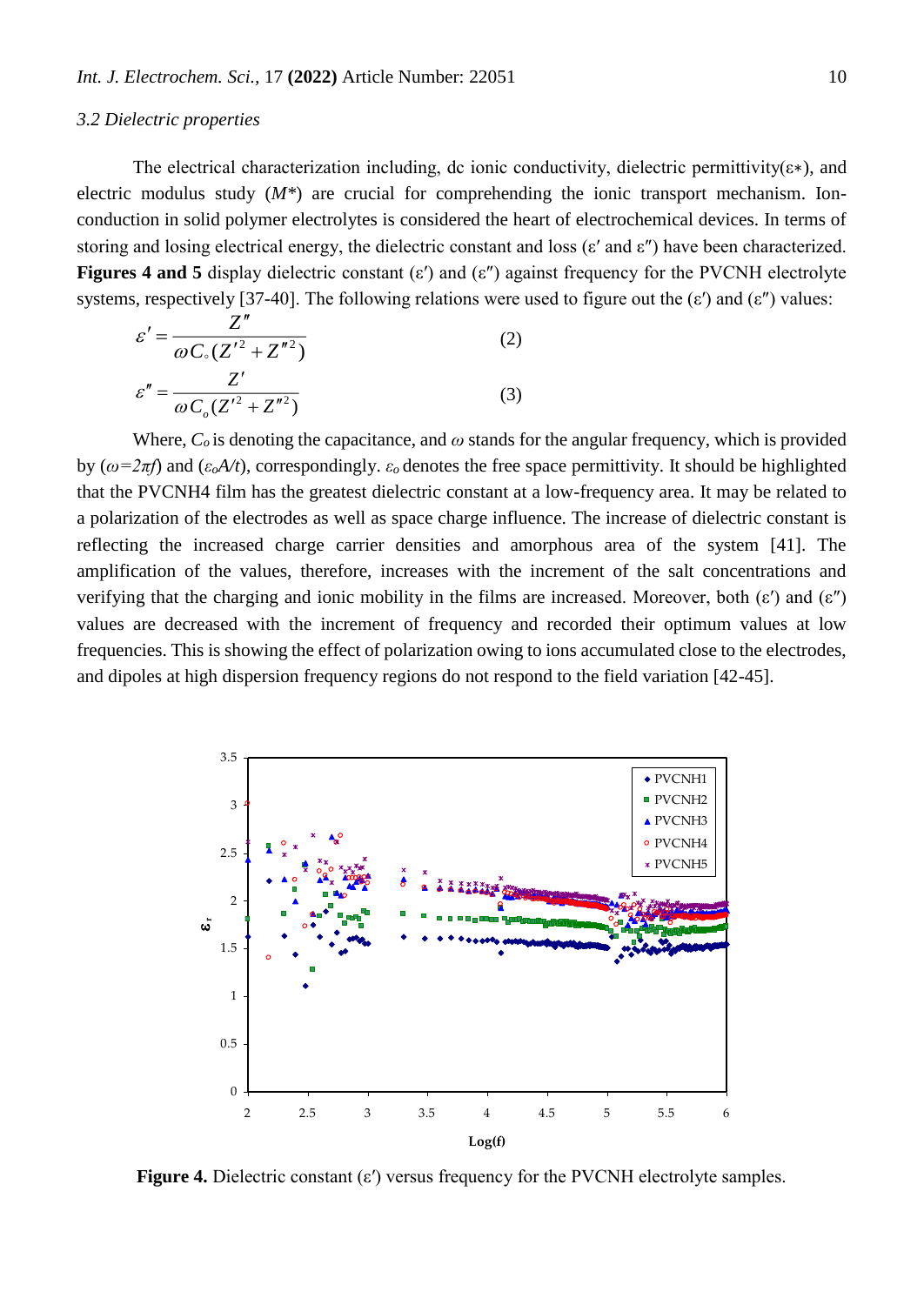#### *3.2 Dielectric properties*

The electrical characterization including, dc ionic conductivity, dielectric permittivity( $\varepsilon$ \*), and electric modulus study (*M\**) are crucial for comprehending the ionic transport mechanism. Ionconduction in solid polymer electrolytes is considered the heart of electrochemical devices. In terms of storing and losing electrical energy, the dielectric constant and loss (ε′ and ε″) have been characterized. **Figures 4 and 5** display dielectric constant (ε′) and (ε″) against frequency for the PVCNH electrolyte systems, respectively [37-40]. The following relations were used to figure out the  $(\varepsilon')$  and  $(\varepsilon'')$  values:

$$
\varepsilon' = \frac{Z''}{\omega C_{\circ} (Z'^2 + Z''^2)}
$$
(2)  

$$
\varepsilon'' = \frac{Z'}{\omega C_{\circ} (Z'^2 + Z''^2)}
$$
(3)

Where,  $C<sub>o</sub>$  is denoting the capacitance, and  $\omega$  stands for the angular frequency, which is provided by ( $\omega = 2\pi f$ ) and ( $\varepsilon_o A/t$ ), correspondingly.  $\varepsilon_o$  denotes the free space permittivity. It should be highlighted that the PVCNH4 film has the greatest dielectric constant at a low-frequency area. It may be related to a polarization of the electrodes as well as space charge influence. The increase of dielectric constant is reflecting the increased charge carrier densities and amorphous area of the system [41]. The amplification of the values, therefore, increases with the increment of the salt concentrations and verifying that the charging and ionic mobility in the films are increased. Moreover, both  $(\varepsilon')$  and  $(\varepsilon'')$ values are decreased with the increment of frequency and recorded their optimum values at low frequencies. This is showing the effect of polarization owing to ions accumulated close to the electrodes, and dipoles at high dispersion frequency regions do not respond to the field variation [42-45].



**Figure 4.** Dielectric constant (ε′) versus frequency for the PVCNH electrolyte samples.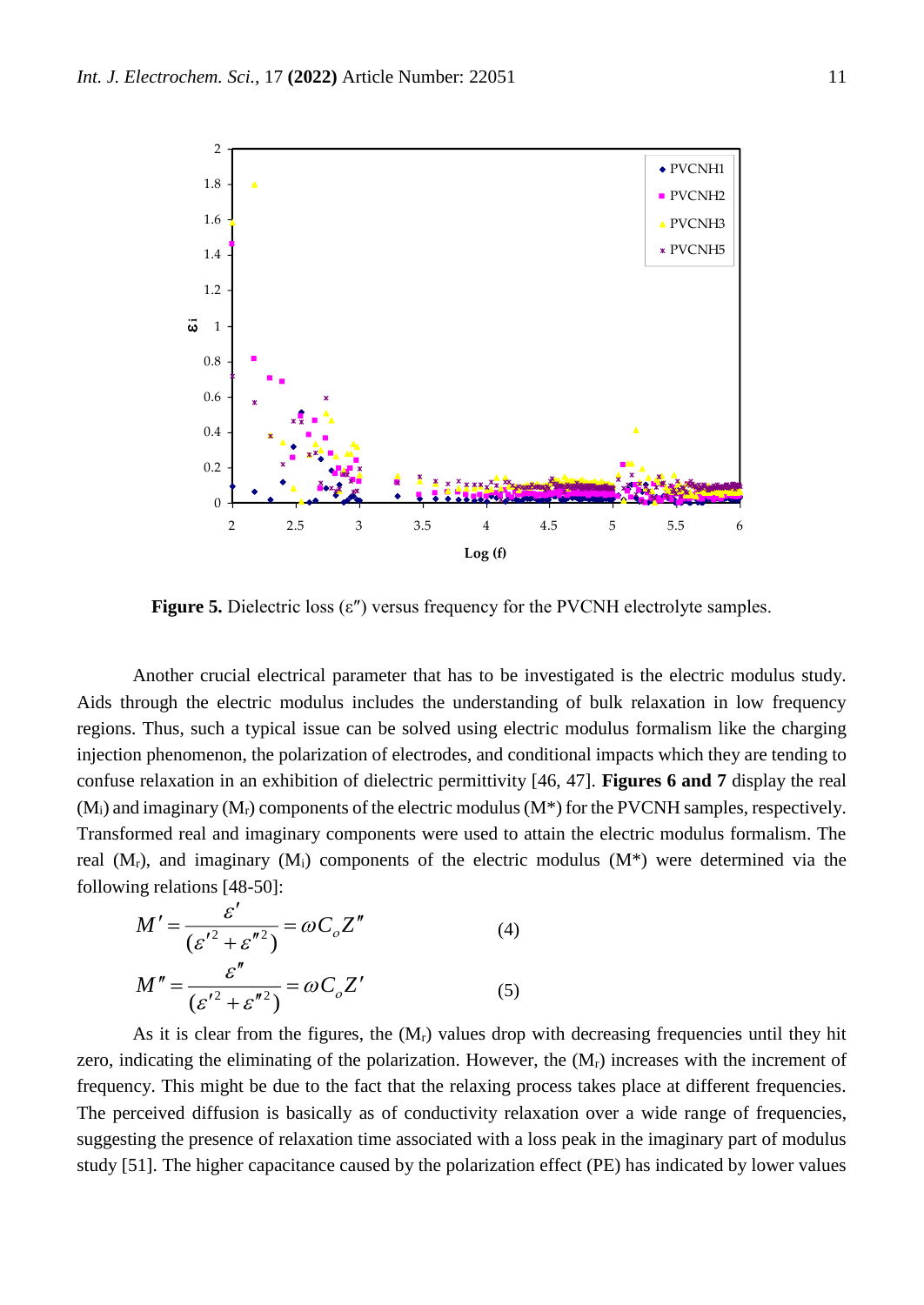

**Figure 5.** Dielectric loss (ε″) versus frequency for the PVCNH electrolyte samples.

Another crucial electrical parameter that has to be investigated is the electric modulus study. Aids through the electric modulus includes the understanding of bulk relaxation in low frequency regions. Thus, such a typical issue can be solved using electric modulus formalism like the charging injection phenomenon, the polarization of electrodes, and conditional impacts which they are tending to confuse relaxation in an exhibition of dielectric permittivity [46, 47]. **Figures 6 and 7** display the real  $(M_i)$  and imaginary  $(M_r)$  components of the electric modulus  $(M^*)$  for the PVCNH samples, respectively. Transformed real and imaginary components were used to attain the electric modulus formalism. The real  $(M_r)$ , and imaginary  $(M_i)$  components of the electric modulus  $(M^*)$  were determined via the following relations [48-50]:

$$
M' = \frac{\varepsilon'}{(\varepsilon'^2 + \varepsilon''^2)} = \omega C_o Z''
$$
\n
$$
M'' = \frac{\varepsilon''}{(\varepsilon'^2 + \varepsilon''^2)} = \omega C_o Z'
$$
\n(4)\n(5)

As it is clear from the figures, the  $(M_r)$  values drop with decreasing frequencies until they hit zero, indicating the eliminating of the polarization. However, the  $(M<sub>r</sub>)$  increases with the increment of frequency. This might be due to the fact that the relaxing process takes place at different frequencies. The perceived diffusion is basically as of conductivity relaxation over a wide range of frequencies, suggesting the presence of relaxation time associated with a loss peak in the imaginary part of modulus study [51]. The higher capacitance caused by the polarization effect (PE) has indicated by lower values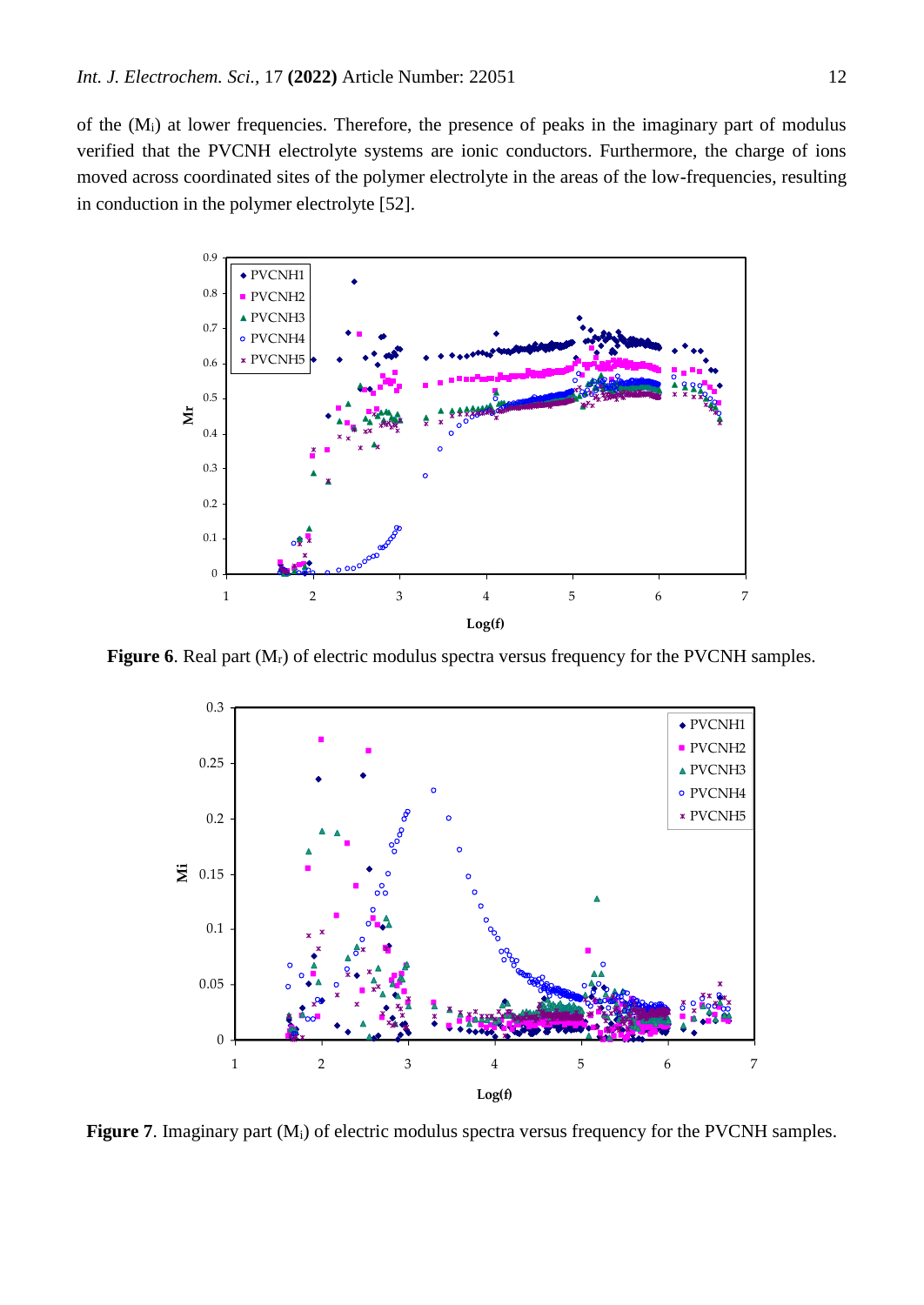of the (Mi) at lower frequencies. Therefore, the presence of peaks in the imaginary part of modulus verified that the PVCNH electrolyte systems are ionic conductors. Furthermore, the charge of ions moved across coordinated sites of the polymer electrolyte in the areas of the low-frequencies, resulting in conduction in the polymer electrolyte [52].



**Figure 6**. Real part (M<sub>r</sub>) of electric modulus spectra versus frequency for the PVCNH samples.



Figure 7. Imaginary part (M<sub>i</sub>) of electric modulus spectra versus frequency for the PVCNH samples.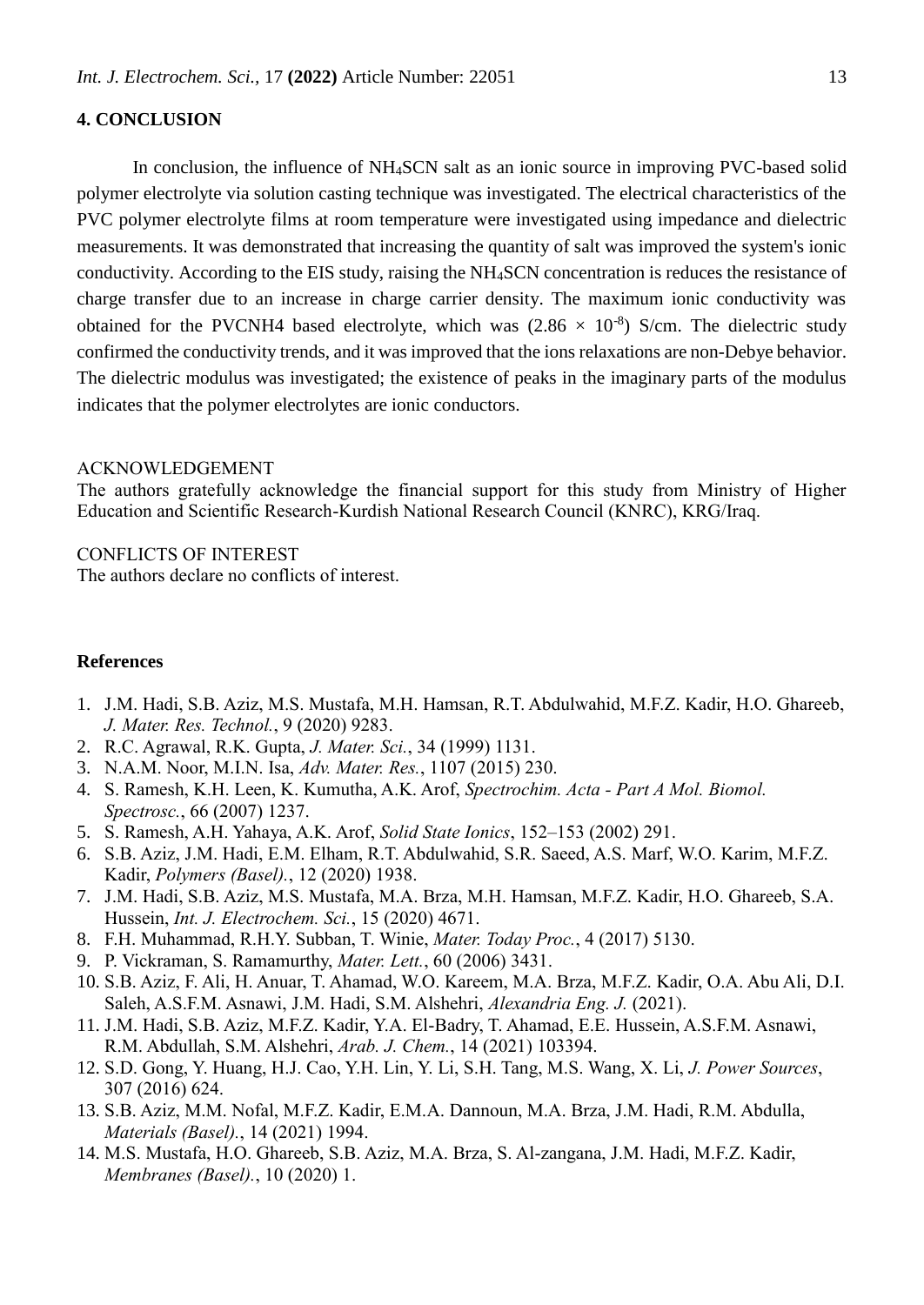## **4. CONCLUSION**

In conclusion, the influence of NH4SCN salt as an ionic source in improving PVC-based solid polymer electrolyte via solution casting technique was investigated. The electrical characteristics of the PVC polymer electrolyte films at room temperature were investigated using impedance and dielectric measurements. It was demonstrated that increasing the quantity of salt was improved the system's ionic conductivity. According to the EIS study, raising the NH4SCN concentration is reduces the resistance of charge transfer due to an increase in charge carrier density. The maximum ionic conductivity was obtained for the PVCNH4 based electrolyte, which was  $(2.86 \times 10^{-8})$  S/cm. The dielectric study confirmed the conductivity trends, and it was improved that the ions relaxations are non-Debye behavior. The dielectric modulus was investigated; the existence of peaks in the imaginary parts of the modulus indicates that the polymer electrolytes are ionic conductors.

### ACKNOWLEDGEMENT

The authors gratefully acknowledge the financial support for this study from Ministry of Higher Education and Scientific Research-Kurdish National Research Council (KNRC), KRG/Iraq.

## CONFLICTS OF INTEREST

The authors declare no conflicts of interest.

## **References**

- 1. J.M. Hadi, S.B. Aziz, M.S. Mustafa, M.H. Hamsan, R.T. Abdulwahid, M.F.Z. Kadir, H.O. Ghareeb, *J. Mater. Res. Technol.*, 9 (2020) 9283.
- 2. R.C. Agrawal, R.K. Gupta, *J. Mater. Sci.*, 34 (1999) 1131.
- 3. N.A.M. Noor, M.I.N. Isa, *Adv. Mater. Res.*, 1107 (2015) 230.
- 4. S. Ramesh, K.H. Leen, K. Kumutha, A.K. Arof, *Spectrochim. Acta - Part A Mol. Biomol. Spectrosc.*, 66 (2007) 1237.
- 5. S. Ramesh, A.H. Yahaya, A.K. Arof, *Solid State Ionics*, 152–153 (2002) 291.
- 6. S.B. Aziz, J.M. Hadi, E.M. Elham, R.T. Abdulwahid, S.R. Saeed, A.S. Marf, W.O. Karim, M.F.Z. Kadir, *Polymers (Basel).*, 12 (2020) 1938.
- 7. J.M. Hadi, S.B. Aziz, M.S. Mustafa, M.A. Brza, M.H. Hamsan, M.F.Z. Kadir, H.O. Ghareeb, S.A. Hussein, *Int. J. Electrochem. Sci.*, 15 (2020) 4671.
- 8. F.H. Muhammad, R.H.Y. Subban, T. Winie, *Mater. Today Proc.*, 4 (2017) 5130.
- 9. P. Vickraman, S. Ramamurthy, *Mater. Lett.*, 60 (2006) 3431.
- 10. S.B. Aziz, F. Ali, H. Anuar, T. Ahamad, W.O. Kareem, M.A. Brza, M.F.Z. Kadir, O.A. Abu Ali, D.I. Saleh, A.S.F.M. Asnawi, J.M. Hadi, S.M. Alshehri, *Alexandria Eng. J.* (2021).
- 11. J.M. Hadi, S.B. Aziz, M.F.Z. Kadir, Y.A. El-Badry, T. Ahamad, E.E. Hussein, A.S.F.M. Asnawi, R.M. Abdullah, S.M. Alshehri, *Arab. J. Chem.*, 14 (2021) 103394.
- 12. S.D. Gong, Y. Huang, H.J. Cao, Y.H. Lin, Y. Li, S.H. Tang, M.S. Wang, X. Li, *J. Power Sources*, 307 (2016) 624.
- 13. S.B. Aziz, M.M. Nofal, M.F.Z. Kadir, E.M.A. Dannoun, M.A. Brza, J.M. Hadi, R.M. Abdulla, *Materials (Basel).*, 14 (2021) 1994.
- 14. M.S. Mustafa, H.O. Ghareeb, S.B. Aziz, M.A. Brza, S. Al‐zangana, J.M. Hadi, M.F.Z. Kadir, *Membranes (Basel).*, 10 (2020) 1.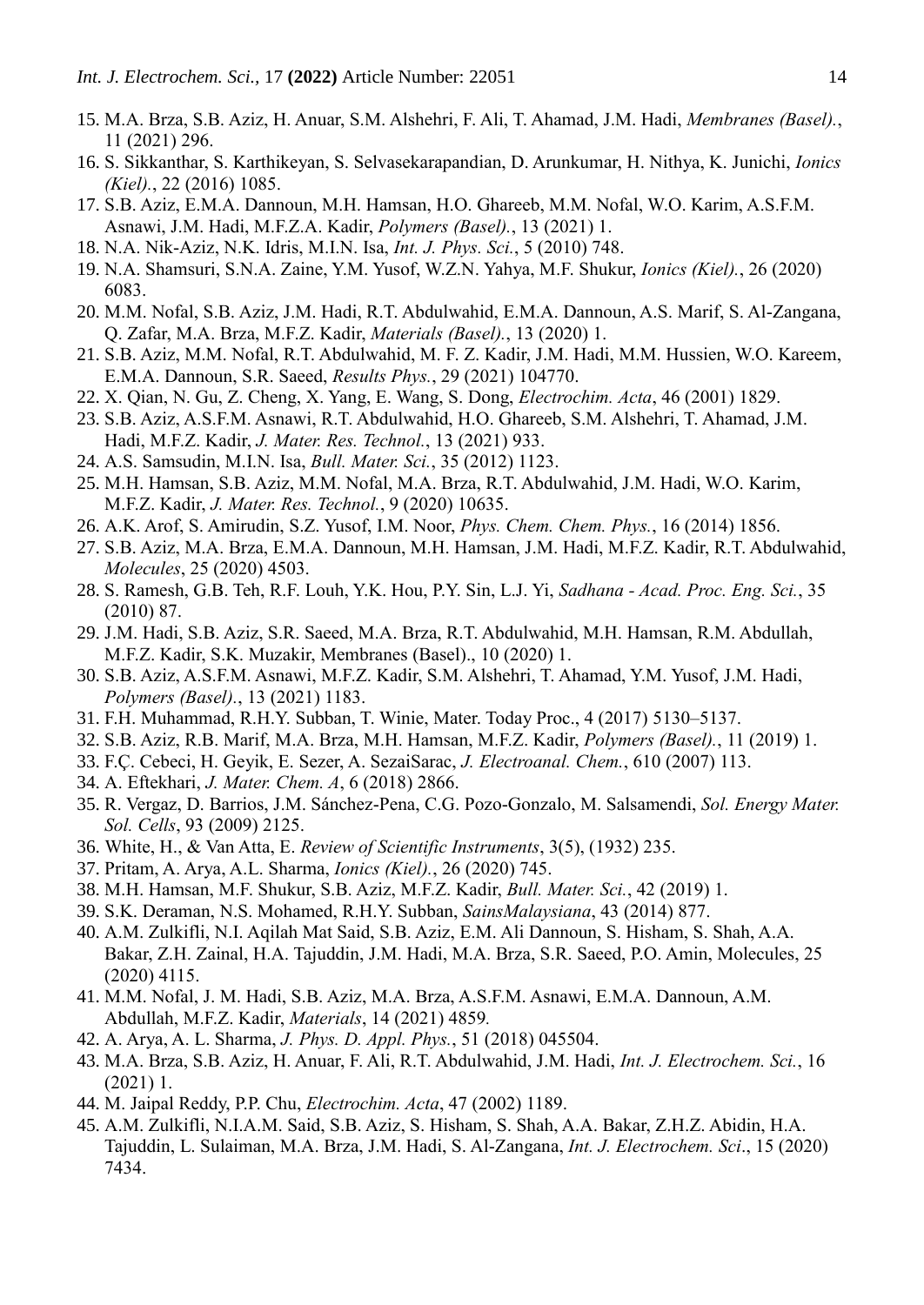- 15. M.A. Brza, S.B. Aziz, H. Anuar, S.M. Alshehri, F. Ali, T. Ahamad, J.M. Hadi, *Membranes (Basel).*, 11 (2021) 296.
- 16. S. Sikkanthar, S. Karthikeyan, S. Selvasekarapandian, D. Arunkumar, H. Nithya, K. Junichi, *Ionics (Kiel).*, 22 (2016) 1085.
- 17. S.B. Aziz, E.M.A. Dannoun, M.H. Hamsan, H.O. Ghareeb, M.M. Nofal, W.O. Karim, A.S.F.M. Asnawi, J.M. Hadi, M.F.Z.A. Kadir, *Polymers (Basel).*, 13 (2021) 1.
- 18. N.A. Nik-Aziz, N.K. Idris, M.I.N. Isa, *Int. J. Phys. Sci.*, 5 (2010) 748.
- 19. N.A. Shamsuri, S.N.A. Zaine, Y.M. Yusof, W.Z.N. Yahya, M.F. Shukur, *Ionics (Kiel).*, 26 (2020) 6083.
- 20. M.M. Nofal, S.B. Aziz, J.M. Hadi, R.T. Abdulwahid, E.M.A. Dannoun, A.S. Marif, S. Al-Zangana, Q. Zafar, M.A. Brza, M.F.Z. Kadir, *Materials (Basel).*, 13 (2020) 1.
- 21. S.B. Aziz, M.M. Nofal, R.T. Abdulwahid, M. F. Z. Kadir, J.M. Hadi, M.M. Hussien, W.O. Kareem, E.M.A. Dannoun, S.R. Saeed, *Results Phys.*, 29 (2021) 104770.
- 22. X. Qian, N. Gu, Z. Cheng, X. Yang, E. Wang, S. Dong, *Electrochim. Acta*, 46 (2001) 1829.
- 23. S.B. Aziz, A.S.F.M. Asnawi, R.T. Abdulwahid, H.O. Ghareeb, S.M. Alshehri, T. Ahamad, J.M. Hadi, M.F.Z. Kadir, *J. Mater. Res. Technol.*, 13 (2021) 933.
- 24. A.S. Samsudin, M.I.N. Isa, *Bull. Mater. Sci.*, 35 (2012) 1123.
- 25. M.H. Hamsan, S.B. Aziz, M.M. Nofal, M.A. Brza, R.T. Abdulwahid, J.M. Hadi, W.O. Karim, M.F.Z. Kadir, *J. Mater. Res. Technol.*, 9 (2020) 10635.
- 26. A.K. Arof, S. Amirudin, S.Z. Yusof, I.M. Noor, *Phys. Chem. Chem. Phys.*, 16 (2014) 1856.
- 27. S.B. Aziz, M.A. Brza, E.M.A. Dannoun, M.H. Hamsan, J.M. Hadi, M.F.Z. Kadir, R.T. Abdulwahid, *Molecules*, 25 (2020) 4503.
- 28. S. Ramesh, G.B. Teh, R.F. Louh, Y.K. Hou, P.Y. Sin, L.J. Yi, *Sadhana - Acad. Proc. Eng. Sci.*, 35 (2010) 87.
- 29. J.M. Hadi, S.B. Aziz, S.R. Saeed, M.A. Brza, R.T. Abdulwahid, M.H. Hamsan, R.M. Abdullah, M.F.Z. Kadir, S.K. Muzakir, Membranes (Basel)., 10 (2020) 1.
- 30. S.B. Aziz, A.S.F.M. Asnawi, M.F.Z. Kadir, S.M. Alshehri, T. Ahamad, Y.M. Yusof, J.M. Hadi, *Polymers (Basel).*, 13 (2021) 1183.
- 31. F.H. Muhammad, R.H.Y. Subban, T. Winie, Mater. Today Proc., 4 (2017) 5130–5137.
- 32. S.B. Aziz, R.B. Marif, M.A. Brza, M.H. Hamsan, M.F.Z. Kadir, *Polymers (Basel).*, 11 (2019) 1.
- 33. F.Ç. Cebeci, H. Geyik, E. Sezer, A. SezaiSarac, *J. Electroanal. Chem.*, 610 (2007) 113.
- 34. A. Eftekhari, *J. Mater. Chem. A*, 6 (2018) 2866.
- 35. R. Vergaz, D. Barrios, J.M. Sánchez-Pena, C.G. Pozo-Gonzalo, M. Salsamendi, *Sol. Energy Mater. Sol. Cells*, 93 (2009) 2125.
- 36. White, H., & Van Atta, E. *Review of Scientific Instruments*, 3(5), (1932) 235.
- 37. Pritam, A. Arya, A.L. Sharma, *Ionics (Kiel).*, 26 (2020) 745.
- 38. M.H. Hamsan, M.F. Shukur, S.B. Aziz, M.F.Z. Kadir, *Bull. Mater. Sci.*, 42 (2019) 1.
- 39. S.K. Deraman, N.S. Mohamed, R.H.Y. Subban, *SainsMalaysiana*, 43 (2014) 877.
- 40. A.M. Zulkifli, N.I. Aqilah Mat Said, S.B. Aziz, E.M. Ali Dannoun, S. Hisham, S. Shah, A.A. Bakar, Z.H. Zainal, H.A. Tajuddin, J.M. Hadi, M.A. Brza, S.R. Saeed, P.O. Amin, Molecules, 25 (2020) 4115.
- 41. M.M. Nofal, J. M. Hadi, S.B. Aziz, M.A. Brza, A.S.F.M. Asnawi, E.M.A. Dannoun, A.M. Abdullah, M.F.Z. Kadir, *Materials*, 14 (2021) 4859*.*
- 42. A. Arya, A. L. Sharma, *J. Phys. D. Appl. Phys.*, 51 (2018) 045504.
- 43. M.A. Brza, S.B. Aziz, H. Anuar, F. Ali, R.T. Abdulwahid, J.M. Hadi, *Int. J. Electrochem. Sci.*, 16 (2021) 1.
- 44. M. Jaipal Reddy, P.P. Chu, *Electrochim. Acta*, 47 (2002) 1189.
- 45. A.M. Zulkifli, N.I.A.M. Said, S.B. Aziz, S. Hisham, S. Shah, A.A. Bakar, Z.H.Z. Abidin, H.A. Tajuddin, L. Sulaiman, M.A. Brza, J.M. Hadi, S. Al-Zangana, *Int. J. Electrochem. Sci*., 15 (2020) 7434.